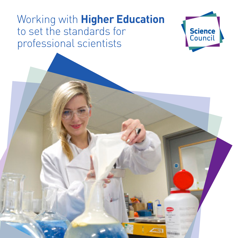# Working with **Higher Education** to set the standards for professional scientists



 $\epsilon$  and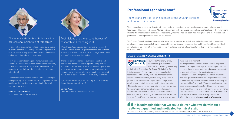# **Professional technical staff**

Technicians are vital to the success of the UK's universities and research institutes.

They underpin the key activities of their organisations, providing the technical expertise essential to research, teaching and knowledge transfer. Alongside this, many technicians are researchers and teachers in their own right. Despite the importance of technicians, traditionally their role has not been well recognised and their career and professional development can often be overlooked.



## The science students of today are the professional scientists of tomorrow.

The Science Council has been working to increase the recognition for technicians and to improve their professional development opportunities at all career stages. Registered Science Technician (RSciTech), Registered Scientist (RSci) and Chartered Scientist (CSci) recognise people in technical science roles with different degrees of responsibility, knowledge and skill.

Science Council Working with Higher Education

To strengthen the science profession and build public trust and confidence in the application and practice of science, we must engage with students at universities and other higher education institutions.

> **SEA Newcastle** Newcastle University is very proud of the quality of their research and teaching. According

From many years teaching and my own experience building a successful business from science research, I know that students across the UK have enormous potential to use their passion for science for a better future for all.

I believe that the work the Science Council is doing to engage the higher education sector is hugely important. And I over the next few years more institutions will partner in our work.

## **1** It is unimaginable that we could deliver what we do without a **really well qualified and motivated technical staff.**

Professor Sir Tom Blundell, President of the Science Council



## Technicians are the unsung heroes of research and teaching in HE.

When I was studying science at university, I learned first-hand how valuable a good technician can be for an enthusiastic student. We want to encourage all students, and staff, to recognise their value.

There are several strands to our vision: an able and professional technical staff supporting the practical education of science students; approved work placement schemes that set students on a path to professional recognition; and a commitment across the sectors and disciplines of science to ethical conduct by scientists.

If you share this vision, then I and my team are looking forward to working with you!

Belinda Phipps Chief Executive of the Science Council

to their Vice-Chancellor, Professor Chris Brink, for this to succeed, "There must be a strong cohort of technicians." Mel Leitch, Technical Manager for the Institute of Neuroscience, immediately recognised the potential for professional registration to inspire not only his team, but all technical staff in the university. "Newcastle University as an employer is very committed to encouraging career development, and since our technicians make such a crucial contribution to the core research and teaching of the University, we felt the Science Council's programme was tailor-made for us to

Professor Sir David Greenaway; Vice-Chancellor University of Nottingham, Chair of the Russell Group



## CASE STUDY: **NEWCASTLE UNIVERSITY**



meet this commitment."

Working with the Science Council, Mel has organised workshops, registration days, and encouraged those in his team that are already registered to act as mentors for anyone going through the application process.

"Recognition is something that we've been struggling with as a group of workers within Higher Education and professional registration has been a vehicle for giving us this recognition," says Mel. "Those technicians that have become professionally registered have become super motivated. They come to me with solutions, not problems; they come with initiatives that they want to drive forward. Having that empowerment is really impressive." Watch the video at **sciencecouncil.org/newcastle**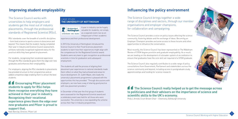A year in industry can be hugely valuable for students, not simply as a separate event, but as an integral part of their academic

experience and their professional development.

In 2015 the University of Nottingham introduced the Science Council to their Food Sciences placement students to learn how their experiences might align with the competences for the Registered Scientist award. Students were very keen to gain recognition as professional scientists in time for graduation and subsequent employment.

The students all said the process of aligning their placement year experiences to national standards made them reflect on what they had achieved and areas for future development. Dr Judith Wayte, who leads the university's placements programme is pleased with the opportunities this has provided: "Through discussions with employers, we now have a way of sharing good practice with new placement providers."

In December of that year the first group of students were assessed for the Registered Scientist award and a celebratory event was held for all those who were successful. The university is now expanding the scheme across their Year in Industry programmes.

### CASE STUDY: **THE UNIVERSITY OF NOTTINGHAM**

The University of Nottingham UNITED KINGDOM - CHINA - MALAYSIA

The Science Council works with universities to help employers and students get the most out of industry placements, through the professional standards of Registered Scientist (RSci).

RSci standards cover the breadth of scientific disciplines – from food science to sports science to bioscience and beyond. This means that the student, having completed their year in industry and Science Council assessment, achieves nationally recognised registered status for the practical skills they have gained on placement.

**Encouraging Pfizer placement students to apply for RSci helps them recognise everything they have achieved in their year in industry. Recognising their vocational experience gives them the edge over new graduates and Pfizer is proud to support that.** 

## **11** The Science Council really helped us to get the message across **to politicians and their advisors on the importance of science and scientific skills to the UK's economy.**

For students, recognising their vocational experience through the RSci standards gives them the edge over new graduates and enhances their employability.

For employers, aligning the RSci standards to placements has provided structure to their programmes and an added competitive edge enabling them to attract the best students.

# **Influencing the policy environment**

The Science Council brings together a wide range of disciplines and sectors, through our member organisations and employer champions, for collaboration and campaigning.

The Science Council provides a voice on policy issues affecting the science community, fostering debate and the exchange of ideas. Becoming an Employer Champion provides exclusive access to these forums and other opportunities to influence the conversation.

Most recently, the Science Council has been represented on The Wakeham Review of STEM degree provision and graduate employability. As a result, we are leading on the development of a broader system of accreditation to ensure that graduates have the core skill set required of a STEM graduate.

The Science Council also regularly contributes to a wide range of policy consultations from Government, Parliament and stakeholders across the science community and beyond, including access to postgraduate study, apprenticeships and funding for science research.

# **Improving student employability**

Kate Barclay; Director, Pfizer Ltd

Polly L Arnold, Crum Brown Chair - Chemistry, Edinburgh University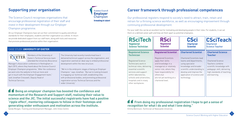# **Supporting your organisation**

The Science Council recognises organisations that encourage professional registration of their staff and invest in their development through our Employer Champion programme.

All our Employer Champions have set out their commitment to quality and ethical standards for their employees, students and their organisation as a whole. In return we provide dedicated support from our staff team, along with tools and resources that promote professional practice within their organisation.

> Members of the University of Exeter's Technical Services team attended the University Bioscience

Manager's Association conference in Nottingham in April 2015, where they heard about the Science Council Employer Champion programme. "After the conference we went onto the website to find out more and got in touch with the Employer Engagement team," said Jonathan Cresswell, Deputy Head of Technical Services.

# **Career framework through professional competences**

Our professional registers respond to society's need to attract, train, retain and retrain for a thriving science workforce, as well as encouraging improvement through continuing professional development.

## **1** From doing my professional registration I hope to get a sense of **recognition for what I do and what I love doing."**

For your staff, this can be an excellent tool for motivating and developing people in their roles. For students, it can set them on a defined career path and help set them apart as potential employees.

## CASE STUDY: **UNIVERSITY OF EXETER**



The University had recently transformed how it delivered technical support across the organisation, and registration seemed an ideal way to embed professional development within the new structure.

"We're in the embryonic stages of being an Employer Champion," says Jonathan. "But we're looking forward to engaging our technical staff, establishing links with professional bodies, and promoting professional registration across Technical Services and the wider University"

 **Being an employer champion has boosted the confidence and momentum of the Research and Support staff, realising their value to science and the JIC. The initial successful registrants have had a positive 'ripple effect', mentoring colleagues to follow in their footsteps and generating wider enthusiasm and motivation across the institute.**

Vanda Morgan, Training and Development Manager, John Innes Centre



Emma Bennison; Technician at Newcastle University



| <b>RSciTech</b>                                | <b>RSci</b>                  |
|------------------------------------------------|------------------------------|
| <b>Registered</b>                              | <b>Registered</b>            |
| <b>Science Technician</b>                      | <b>Scientist</b>             |
| <b>Registered Science</b><br><b>Technician</b> | <b>Registered Scientist</b>  |
| <b>Registered Science</b>                      | <b>Registered Scientists</b> |
| Technicians work in                            | apply their skills           |
| technical roles, delivering                    | and knowledge in a           |
| essential scientific                           | managerial or relatively     |
| services and support                           | senior role, where they      |
| within laboratories,                           | have responsibility for      |
| schools and universities,                      | others but                   |
| hospitals and in many                          | are not yet working at a     |
| other workplaces.                              | chartered level.             |

### **Chartered Scientist**

Chartered Scientists lead teams and departments, using specialist knowledge and broader scientific understanding to develop and improve the

application of science and technology.

**CSciTeach** Chartered **Science Teacher** 

### **Chartered Science Teacher**

Chartered Science Teachers combine scientific knowledge with pedagogic skill, delivering high standards of teaching and learning.